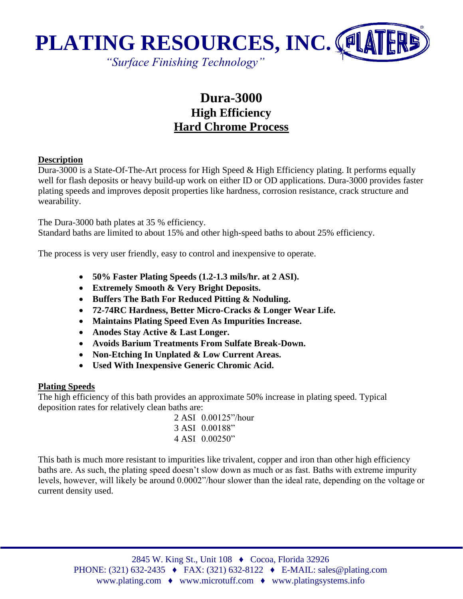

# **Dura-3000 High Efficiency Hard Chrome Process**

# **Description**

Dura-3000 is a State-Of-The-Art process for High Speed & High Efficiency plating. It performs equally well for flash deposits or heavy build-up work on either ID or OD applications. Dura-3000 provides faster plating speeds and improves deposit properties like hardness, corrosion resistance, crack structure and wearability.

The Dura-3000 bath plates at 35 % efficiency. Standard baths are limited to about 15% and other high-speed baths to about 25% efficiency.

The process is very user friendly, easy to control and inexpensive to operate.

- **50% Faster Plating Speeds (1.2-1.3 mils/hr. at 2 ASI).**
- **Extremely Smooth & Very Bright Deposits.**
- **Buffers The Bath For Reduced Pitting & Noduling.**
- **72-74RC Hardness, Better Micro-Cracks & Longer Wear Life.**
- **Maintains Plating Speed Even As Impurities Increase.**
- **Anodes Stay Active & Last Longer.**
- **Avoids Barium Treatments From Sulfate Break-Down.**
- **Non-Etching In Unplated & Low Current Areas.**
- **Used With Inexpensive Generic Chromic Acid.**

# **Plating Speeds**

The high efficiency of this bath provides an approximate 50% increase in plating speed. Typical deposition rates for relatively clean baths are:

2 ASI 0.00125"/hour 3 ASI 0.00188" 4 ASI 0.00250"

This bath is much more resistant to impurities like trivalent, copper and iron than other high efficiency baths are. As such, the plating speed doesn't slow down as much or as fast. Baths with extreme impurity levels, however, will likely be around 0.0002"/hour slower than the ideal rate, depending on the voltage or current density used.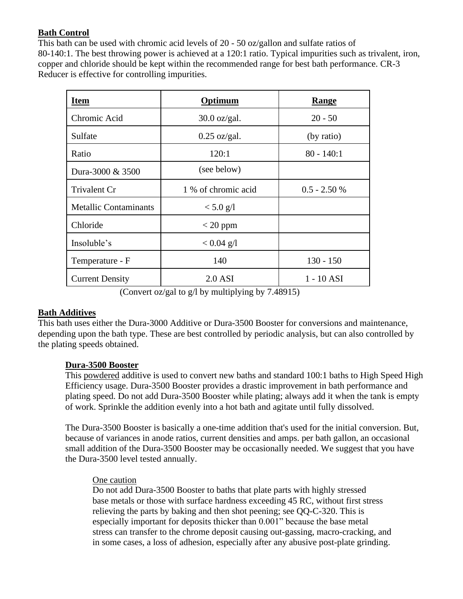# **Bath Control**

This bath can be used with chromic acid levels of 20 - 50 oz/gallon and sulfate ratios of 80-140:1. The best throwing power is achieved at a 120:1 ratio. Typical impurities such as trivalent, iron, copper and chloride should be kept within the recommended range for best bath performance. CR-3 Reducer is effective for controlling impurities.

| <b>Item</b>                  | Optimum                | Range          |
|------------------------------|------------------------|----------------|
| Chromic Acid                 | $30.0 \text{ oz/gal.}$ | $20 - 50$      |
| Sulfate                      | $0.25 \text{ oz/gal.}$ | (by ratio)     |
| Ratio                        | 120:1                  | $80 - 140:1$   |
| Dura-3000 & 3500             | (see below)            |                |
| <b>Trivalent Cr</b>          | 1 % of chromic acid    | $0.5 - 2.50 %$ |
| <b>Metallic Contaminants</b> | $< 5.0$ g/l            |                |
| Chloride                     | $<$ 20 ppm             |                |
| Insoluble's                  | $< 0.04$ g/l           |                |
| Temperature - F              | 140                    | $130 - 150$    |
| <b>Current Density</b>       | 2.0 ASI                | 1 - 10 ASI     |

(Convert oz/gal to g/l by multiplying by 7.48915)

# **Bath Additives**

This bath uses either the Dura-3000 Additive or Dura-3500 Booster for conversions and maintenance, depending upon the bath type. These are best controlled by periodic analysis, but can also controlled by the plating speeds obtained.

# **Dura-3500 Booster**

This powdered additive is used to convert new baths and standard 100:1 baths to High Speed High Efficiency usage. Dura-3500 Booster provides a drastic improvement in bath performance and plating speed. Do not add Dura-3500 Booster while plating; always add it when the tank is empty of work. Sprinkle the addition evenly into a hot bath and agitate until fully dissolved.

The Dura-3500 Booster is basically a one-time addition that's used for the initial conversion. But, because of variances in anode ratios, current densities and amps. per bath gallon, an occasional small addition of the Dura-3500 Booster may be occasionally needed. We suggest that you have the Dura-3500 level tested annually.

## One caution

Do not add Dura-3500 Booster to baths that plate parts with highly stressed base metals or those with surface hardness exceeding 45 RC, without first stress relieving the parts by baking and then shot peening; see QQ-C-320. This is especially important for deposits thicker than 0.001" because the base metal stress can transfer to the chrome deposit causing out-gassing, macro-cracking, and in some cases, a loss of adhesion, especially after any abusive post-plate grinding.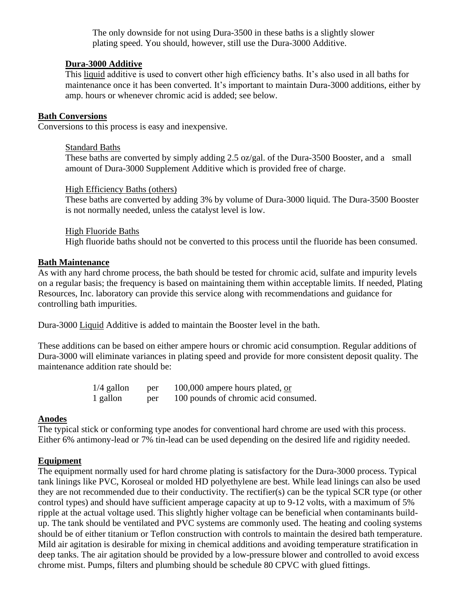The only downside for not using Dura-3500 in these baths is a slightly slower plating speed. You should, however, still use the Dura-3000 Additive.

## **Dura-3000 Additive**

This liquid additive is used to convert other high efficiency baths. It's also used in all baths for maintenance once it has been converted. It's important to maintain Dura-3000 additions, either by amp. hours or whenever chromic acid is added; see below.

## **Bath Conversions**

Conversions to this process is easy and inexpensive.

#### Standard Baths

These baths are converted by simply adding 2.5 oz/gal. of the Dura-3500 Booster, and a small amount of Dura-3000 Supplement Additive which is provided free of charge.

#### High Efficiency Baths (others)

These baths are converted by adding 3% by volume of Dura-3000 liquid. The Dura-3500 Booster is not normally needed, unless the catalyst level is low.

## High Fluoride Baths

High fluoride baths should not be converted to this process until the fluoride has been consumed.

## **Bath Maintenance**

As with any hard chrome process, the bath should be tested for chromic acid, sulfate and impurity levels on a regular basis; the frequency is based on maintaining them within acceptable limits. If needed, Plating Resources, Inc. laboratory can provide this service along with recommendations and guidance for controlling bath impurities.

Dura-3000 Liquid Additive is added to maintain the Booster level in the bath.

These additions can be based on either ampere hours or chromic acid consumption. Regular additions of Dura-3000 will eliminate variances in plating speed and provide for more consistent deposit quality. The maintenance addition rate should be:

> 1/4 gallon per 100,000 ampere hours plated, or 1 gallon per 100 pounds of chromic acid consumed.

## **Anodes**

The typical stick or conforming type anodes for conventional hard chrome are used with this process. Either 6% antimony-lead or 7% tin-lead can be used depending on the desired life and rigidity needed.

## **Equipment**

The equipment normally used for hard chrome plating is satisfactory for the Dura-3000 process. Typical tank linings like PVC, Koroseal or molded HD polyethylene are best. While lead linings can also be used they are not recommended due to their conductivity. The rectifier(s) can be the typical SCR type (or other control types) and should have sufficient amperage capacity at up to 9-12 volts, with a maximum of 5% ripple at the actual voltage used. This slightly higher voltage can be beneficial when contaminants buildup. The tank should be ventilated and PVC systems are commonly used. The heating and cooling systems should be of either titanium or Teflon construction with controls to maintain the desired bath temperature. Mild air agitation is desirable for mixing in chemical additions and avoiding temperature stratification in deep tanks. The air agitation should be provided by a low-pressure blower and controlled to avoid excess chrome mist. Pumps, filters and plumbing should be schedule 80 CPVC with glued fittings.